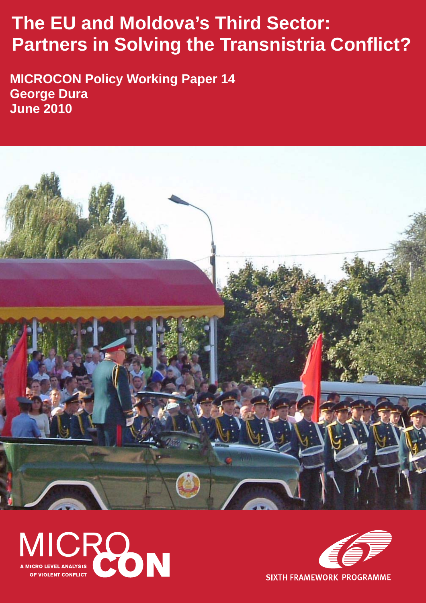# **The EU and Moldova's Third Sector: Partners in Solving the Transnistria Conflict?**

**MICROCON Policy Working Paper 14 George Dura June 2010** 





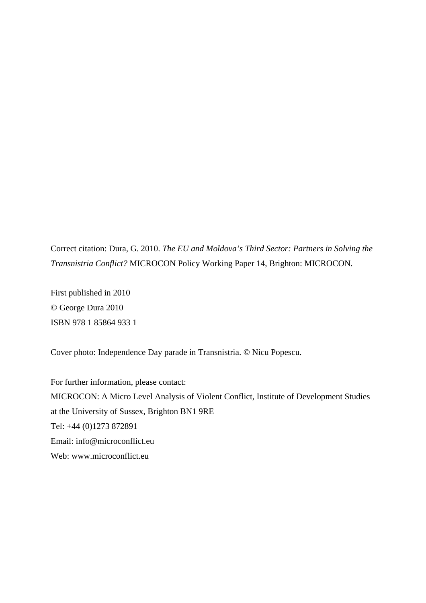Correct citation: Dura, G. 2010. *The EU and Moldova's Third Sector: Partners in Solving the Transnistria Conflict?* MICROCON Policy Working Paper 14, Brighton: MICROCON.

First published in 2010 © George Dura 2010 ISBN 978 1 85864 933 1

Cover photo: Independence Day parade in Transnistria. © Nicu Popescu.

For further information, please contact: MICROCON: A Micro Level Analysis of Violent Conflict, Institute of Development Studies at the University of Sussex, Brighton BN1 9RE Tel: +44 (0)1273 872891 Email: info@microconflict.eu Web: www.microconflict.eu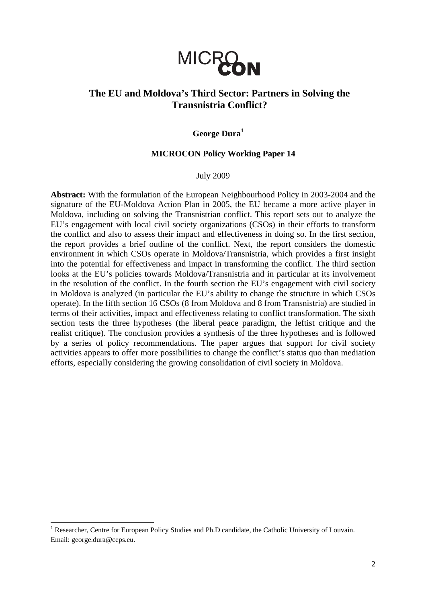

# **The EU and Moldova's Third Sector: Partners in Solving the Transnistria Conflict?**

# **George Dura<sup>1</sup>**

# **MICROCON Policy Working Paper 14**

July 2009

**Abstract:** With the formulation of the European Neighbourhood Policy in 2003-2004 and the signature of the EU-Moldova Action Plan in 2005, the EU became a more active player in Moldova, including on solving the Transnistrian conflict. This report sets out to analyze the EU's engagement with local civil society organizations (CSOs) in their efforts to transform the conflict and also to assess their impact and effectiveness in doing so. In the first section, the report provides a brief outline of the conflict. Next, the report considers the domestic environment in which CSOs operate in Moldova/Transnistria, which provides a first insight into the potential for effectiveness and impact in transforming the conflict. The third section looks at the EU's policies towards Moldova/Transnistria and in particular at its involvement in the resolution of the conflict. In the fourth section the EU's engagement with civil society in Moldova is analyzed (in particular the EU's ability to change the structure in which CSOs operate). In the fifth section 16 CSOs (8 from Moldova and 8 from Transnistria) are studied in terms of their activities, impact and effectiveness relating to conflict transformation. The sixth section tests the three hypotheses (the liberal peace paradigm, the leftist critique and the realist critique). The conclusion provides a synthesis of the three hypotheses and is followed by a series of policy recommendations. The paper argues that support for civil society activities appears to offer more possibilities to change the conflict's status quo than mediation efforts, especially considering the growing consolidation of civil society in Moldova.

<sup>&</sup>lt;sup>1</sup> Researcher, Centre for European Policy Studies and Ph.D candidate, the Catholic University of Louvain. Email: george.dura@ceps.eu.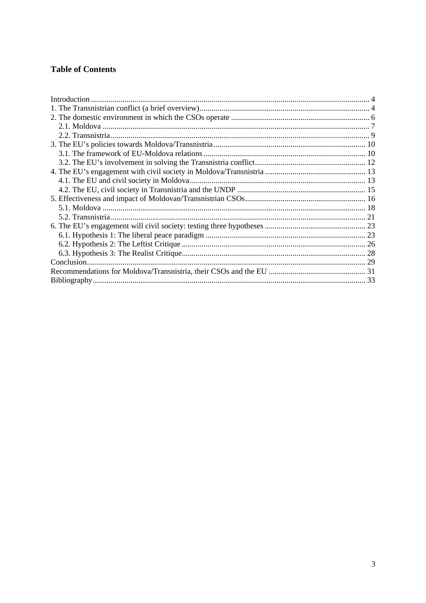# **Table of Contents**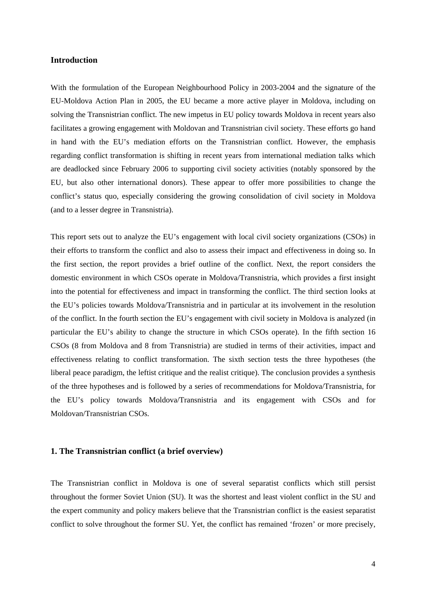## **Introduction**

With the formulation of the European Neighbourhood Policy in 2003-2004 and the signature of the EU-Moldova Action Plan in 2005, the EU became a more active player in Moldova, including on solving the Transnistrian conflict. The new impetus in EU policy towards Moldova in recent years also facilitates a growing engagement with Moldovan and Transnistrian civil society. These efforts go hand in hand with the EU's mediation efforts on the Transnistrian conflict. However, the emphasis regarding conflict transformation is shifting in recent years from international mediation talks which are deadlocked since February 2006 to supporting civil society activities (notably sponsored by the EU, but also other international donors). These appear to offer more possibilities to change the conflict's status quo, especially considering the growing consolidation of civil society in Moldova (and to a lesser degree in Transnistria).

This report sets out to analyze the EU's engagement with local civil society organizations (CSOs) in their efforts to transform the conflict and also to assess their impact and effectiveness in doing so. In the first section, the report provides a brief outline of the conflict. Next, the report considers the domestic environment in which CSOs operate in Moldova/Transnistria, which provides a first insight into the potential for effectiveness and impact in transforming the conflict. The third section looks at the EU's policies towards Moldova/Transnistria and in particular at its involvement in the resolution of the conflict. In the fourth section the EU's engagement with civil society in Moldova is analyzed (in particular the EU's ability to change the structure in which CSOs operate). In the fifth section 16 CSOs (8 from Moldova and 8 from Transnistria) are studied in terms of their activities, impact and effectiveness relating to conflict transformation. The sixth section tests the three hypotheses (the liberal peace paradigm, the leftist critique and the realist critique). The conclusion provides a synthesis of the three hypotheses and is followed by a series of recommendations for Moldova/Transnistria, for the EU's policy towards Moldova/Transnistria and its engagement with CSOs and for Moldovan/Transnistrian CSOs.

# **1. The Transnistrian conflict (a brief overview)**

The Transnistrian conflict in Moldova is one of several separatist conflicts which still persist throughout the former Soviet Union (SU). It was the shortest and least violent conflict in the SU and the expert community and policy makers believe that the Transnistrian conflict is the easiest separatist conflict to solve throughout the former SU. Yet, the conflict has remained 'frozen' or more precisely,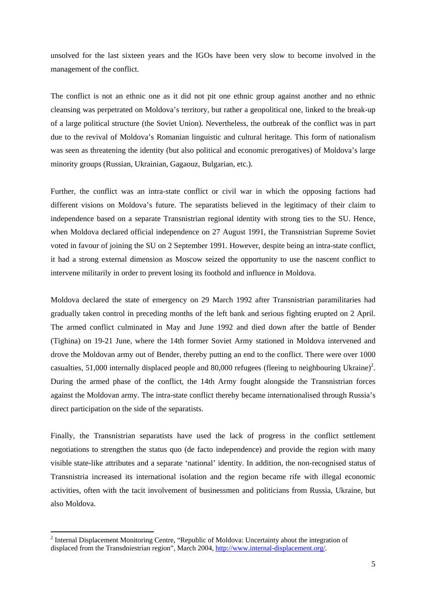unsolved for the last sixteen years and the IGOs have been very slow to become involved in the management of the conflict.

The conflict is not an ethnic one as it did not pit one ethnic group against another and no ethnic cleansing was perpetrated on Moldova's territory, but rather a geopolitical one, linked to the break-up of a large political structure (the Soviet Union). Nevertheless, the outbreak of the conflict was in part due to the revival of Moldova's Romanian linguistic and cultural heritage. This form of nationalism was seen as threatening the identity (but also political and economic prerogatives) of Moldova's large minority groups (Russian, Ukrainian, Gagaouz, Bulgarian, etc.).

Further, the conflict was an intra-state conflict or civil war in which the opposing factions had different visions on Moldova's future. The separatists believed in the legitimacy of their claim to independence based on a separate Transnistrian regional identity with strong ties to the SU. Hence, when Moldova declared official independence on 27 August 1991, the Transnistrian Supreme Soviet voted in favour of joining the SU on 2 September 1991. However, despite being an intra-state conflict, it had a strong external dimension as Moscow seized the opportunity to use the nascent conflict to intervene militarily in order to prevent losing its foothold and influence in Moldova.

Moldova declared the state of emergency on 29 March 1992 after Transnistrian paramilitaries had gradually taken control in preceding months of the left bank and serious fighting erupted on 2 April. The armed conflict culminated in May and June 1992 and died down after the battle of Bender (Tighina) on 19-21 June, where the 14th former Soviet Army stationed in Moldova intervened and drove the Moldovan army out of Bender, thereby putting an end to the conflict. There were over 1000 casualties, 51,000 internally displaced people and 80,000 refugees (fleeing to neighbouring Ukraine)<sup>2</sup>. During the armed phase of the conflict, the 14th Army fought alongside the Transnistrian forces against the Moldovan army. The intra-state conflict thereby became internationalised through Russia's direct participation on the side of the separatists.

Finally, the Transnistrian separatists have used the lack of progress in the conflict settlement negotiations to strengthen the status quo (de facto independence) and provide the region with many visible state-like attributes and a separate 'national' identity. In addition, the non-recognised status of Transnistria increased its international isolation and the region became rife with illegal economic activities, often with the tacit involvement of businessmen and politicians from Russia, Ukraine, but also Moldova.

<sup>&</sup>lt;sup>2</sup> Internal Displacement Monitoring Centre, "Republic of Moldova: Uncertainty about the integration of displaced from the Transdniestrian region", March 2004, http://www.internal-displacement.org/.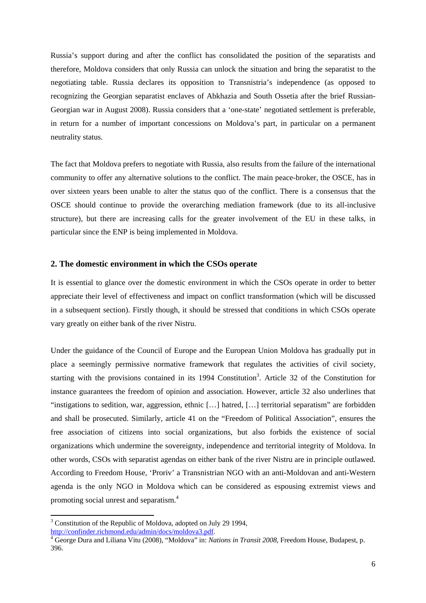Russia's support during and after the conflict has consolidated the position of the separatists and therefore, Moldova considers that only Russia can unlock the situation and bring the separatist to the negotiating table. Russia declares its opposition to Transnistria's independence (as opposed to recognizing the Georgian separatist enclaves of Abkhazia and South Ossetia after the brief Russian-Georgian war in August 2008). Russia considers that a 'one-state' negotiated settlement is preferable, in return for a number of important concessions on Moldova's part, in particular on a permanent neutrality status.

The fact that Moldova prefers to negotiate with Russia, also results from the failure of the international community to offer any alternative solutions to the conflict. The main peace-broker, the OSCE, has in over sixteen years been unable to alter the status quo of the conflict. There is a consensus that the OSCE should continue to provide the overarching mediation framework (due to its all-inclusive structure), but there are increasing calls for the greater involvement of the EU in these talks, in particular since the ENP is being implemented in Moldova.

# **2. The domestic environment in which the CSOs operate**

It is essential to glance over the domestic environment in which the CSOs operate in order to better appreciate their level of effectiveness and impact on conflict transformation (which will be discussed in a subsequent section). Firstly though, it should be stressed that conditions in which CSOs operate vary greatly on either bank of the river Nistru.

Under the guidance of the Council of Europe and the European Union Moldova has gradually put in place a seemingly permissive normative framework that regulates the activities of civil society, starting with the provisions contained in its 1994 Constitution<sup>3</sup>. Article 32 of the Constitution for instance guarantees the freedom of opinion and association. However, article 32 also underlines that "instigations to sedition, war, aggression, ethnic […] hatred, […] territorial separatism" are forbidden and shall be prosecuted. Similarly, article 41 on the "Freedom of Political Association", ensures the free association of citizens into social organizations, but also forbids the existence of social organizations which undermine the sovereignty, independence and territorial integrity of Moldova. In other words, CSOs with separatist agendas on either bank of the river Nistru are in principle outlawed. According to Freedom House, 'Proriv' a Transnistrian NGO with an anti-Moldovan and anti-Western agenda is the only NGO in Moldova which can be considered as espousing extremist views and promoting social unrest and separatism.<sup>4</sup>

<sup>&</sup>lt;sup>3</sup> Constitution of the Republic of Moldova, adopted on July 29 1994, http://confinder.richmond.edu/admin/docs/moldova3.pdf.

George Dura and Liliana Vitu (2008), "Moldova" in: *Nations in Transit 2008*, Freedom House, Budapest, p. 396.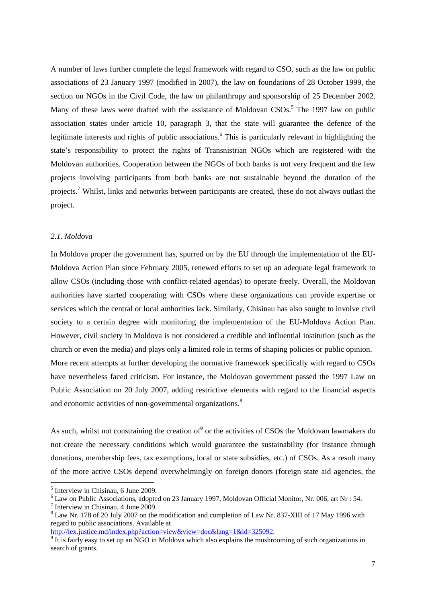A number of laws further complete the legal framework with regard to CSO, such as the law on public associations of 23 January 1997 (modified in 2007), the law on foundations of 28 October 1999, the section on NGOs in the Civil Code, the law on philanthropy and sponsorship of 25 December 2002. Many of these laws were drafted with the assistance of Moldovan CSOs.<sup>5</sup> The 1997 law on public association states under article 10, paragraph 3, that the state will guarantee the defence of the legitimate interests and rights of public associations.<sup>6</sup> This is particularly relevant in highlighting the state's responsibility to protect the rights of Transnistrian NGOs which are registered with the Moldovan authorities. Cooperation between the NGOs of both banks is not very frequent and the few projects involving participants from both banks are not sustainable beyond the duration of the projects.<sup>7</sup> Whilst, links and networks between participants are created, these do not always outlast the project.

#### *2.1. Moldova*

In Moldova proper the government has, spurred on by the EU through the implementation of the EU-Moldova Action Plan since February 2005, renewed efforts to set up an adequate legal framework to allow CSOs (including those with conflict-related agendas) to operate freely. Overall, the Moldovan authorities have started cooperating with CSOs where these organizations can provide expertise or services which the central or local authorities lack. Similarly, Chisinau has also sought to involve civil society to a certain degree with monitoring the implementation of the EU-Moldova Action Plan. However, civil society in Moldova is not considered a credible and influential institution (such as the church or even the media) and plays only a limited role in terms of shaping policies or public opinion. More recent attempts at further developing the normative framework specifically with regard to CSOs have nevertheless faced criticism. For instance, the Moldovan government passed the 1997 Law on Public Association on 20 July 2007, adding restrictive elements with regard to the financial aspects and economic activities of non-governmental organizations.<sup>8</sup>

As such, whilst not constraining the creation of  $\phi$  or the activities of CSOs the Moldovan lawmakers do not create the necessary conditions which would guarantee the sustainability (for instance through donations, membership fees, tax exemptions, local or state subsidies, etc.) of CSOs. As a result many of the more active CSOs depend overwhelmingly on foreign donors (foreign state aid agencies, the

http://lex.justice.md/index.php?action=view&view=doc&lang=1&id=325092.

 5 Interview in Chisinau, 6 June 2009.

<sup>&</sup>lt;sup>6</sup> Law on Public Associations, adopted on 23 January 1997, Moldovan Official Monitor, Nr. 006, art Nr : 54.

<sup>7</sup> Interview in Chisinau, 4 June 2009.

 $8$  Law Nr. 178 of 20 July 2007 on the modification and completion of Law Nr. 837-XIII of 17 May 1996 with regard to public associations. Available at

<sup>&</sup>lt;sup>9</sup> It is fairly easy to set up an NGO in Moldova which also explains the mushrooming of such organizations in search of grants.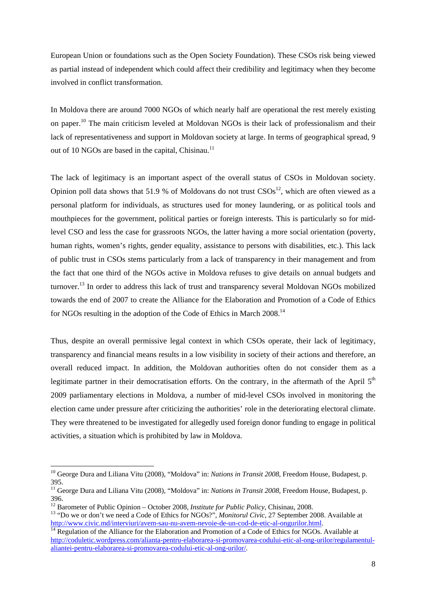European Union or foundations such as the Open Society Foundation). These CSOs risk being viewed as partial instead of independent which could affect their credibility and legitimacy when they become involved in conflict transformation.

In Moldova there are around 7000 NGOs of which nearly half are operational the rest merely existing on paper.<sup>10</sup> The main criticism leveled at Moldovan NGOs is their lack of professionalism and their lack of representativeness and support in Moldovan society at large. In terms of geographical spread, 9 out of 10 NGOs are based in the capital, Chisinau.<sup>11</sup>

The lack of legitimacy is an important aspect of the overall status of CSOs in Moldovan society. Opinion poll data shows that 51.9 % of Moldovans do not trust  $\text{CSOs}^{12}$ , which are often viewed as a personal platform for individuals, as structures used for money laundering, or as political tools and mouthpieces for the government, political parties or foreign interests. This is particularly so for midlevel CSO and less the case for grassroots NGOs, the latter having a more social orientation (poverty, human rights, women's rights, gender equality, assistance to persons with disabilities, etc.). This lack of public trust in CSOs stems particularly from a lack of transparency in their management and from the fact that one third of the NGOs active in Moldova refuses to give details on annual budgets and turnover.13 In order to address this lack of trust and transparency several Moldovan NGOs mobilized towards the end of 2007 to create the Alliance for the Elaboration and Promotion of a Code of Ethics for NGOs resulting in the adoption of the Code of Ethics in March 2008.<sup>14</sup>

Thus, despite an overall permissive legal context in which CSOs operate, their lack of legitimacy, transparency and financial means results in a low visibility in society of their actions and therefore, an overall reduced impact. In addition, the Moldovan authorities often do not consider them as a legitimate partner in their democratisation efforts. On the contrary, in the aftermath of the April  $5<sup>th</sup>$ 2009 parliamentary elections in Moldova, a number of mid-level CSOs involved in monitoring the election came under pressure after criticizing the authorities' role in the deteriorating electoral climate. They were threatened to be investigated for allegedly used foreign donor funding to engage in political activities, a situation which is prohibited by law in Moldova.

<sup>&</sup>lt;sup>10</sup> George Dura and Liliana Vitu (2008), "Moldova" in: *Nations in Transit 2008*, Freedom House, Budapest, p. 395.

<sup>&</sup>lt;sup>11</sup> George Dura and Liliana Vitu (2008), "Moldova" in: *Nations in Transit 2008*, Freedom House, Budapest, p. 396.<br><sup>12</sup> Barometer of Public Opinion – October 2008, *Institute for Public Policy*, Chisinau, 2008.

<sup>13 &</sup>quot;Do we or don't we need a Code of Ethics for NGOs?", *Monitorul Civic*, 27 September 2008. Available at http://www.civic.md/interviuri/avem-sau-nu-avem-nevoie-de-un-cod-de-etic-al-ongurilor.html.

 $\frac{14}{14}$  Regulation of the Alliance for the Elaboration and Promotion of a Code of Ethics for NGOs. Available at http://coduletic.wordpress.com/alianta-pentru-elaborarea-si-promovarea-codului-etic-al-ong-urilor/regulamentulaliantei-pentru-elaborarea-si-promovarea-codului-etic-al-ong-urilor/.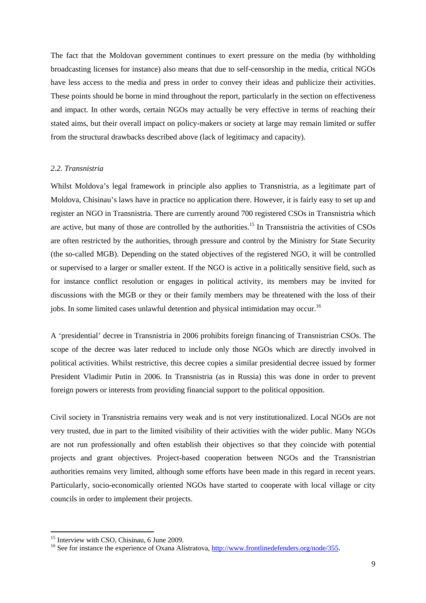The fact that the Moldovan government continues to exert pressure on the media (by withholding broadcasting licenses for instance) also means that due to self-censorship in the media, critical NGOs have less access to the media and press in order to convey their ideas and publicize their activities. These points should be borne in mind throughout the report, particularly in the section on effectiveness and impact. In other words, certain NGOs may actually be very effective in terms of reaching their stated aims, but their overall impact on policy-makers or society at large may remain limited or suffer from the structural drawbacks described above (lack of legitimacy and capacity).

# *2.2. Transnistria*

Whilst Moldova's legal framework in principle also applies to Transnistria, as a legitimate part of Moldova, Chisinau's laws have in practice no application there. However, it is fairly easy to set up and register an NGO in Transnistria. There are currently around 700 registered CSOs in Transnistria which are active, but many of those are controlled by the authorities.<sup>15</sup> In Transnistria the activities of CSOs are often restricted by the authorities, through pressure and control by the Ministry for State Security (the so-called MGB). Depending on the stated objectives of the registered NGO, it will be controlled or supervised to a larger or smaller extent. If the NGO is active in a politically sensitive field, such as for instance conflict resolution or engages in political activity, its members may be invited for discussions with the MGB or they or their family members may be threatened with the loss of their jobs. In some limited cases unlawful detention and physical intimidation may occur.<sup>16</sup>

A 'presidential' decree in Transnistria in 2006 prohibits foreign financing of Transnistrian CSOs. The scope of the decree was later reduced to include only those NGOs which are directly involved in political activities. Whilst restrictive, this decree copies a similar presidential decree issued by former President Vladimir Putin in 2006. In Transnistria (as in Russia) this was done in order to prevent foreign powers or interests from providing financial support to the political opposition.

Civil society in Transnistria remains very weak and is not very institutionalized. Local NGOs are not very trusted, due in part to the limited visibility of their activities with the wider public. Many NGOs are not run professionally and often establish their objectives so that they coincide with potential projects and grant objectives. Project-based cooperation between NGOs and the Transnistrian authorities remains very limited, although some efforts have been made in this regard in recent years. Particularly, socio-economically oriented NGOs have started to cooperate with local village or city councils in order to implement their projects.

<sup>&</sup>lt;sup>15</sup> Interview with CSO, Chisinau, 6 June 2009.

<sup>&</sup>lt;sup>16</sup> See for instance the experience of Oxana Alistratova, http://www.frontlinedefenders.org/node/355.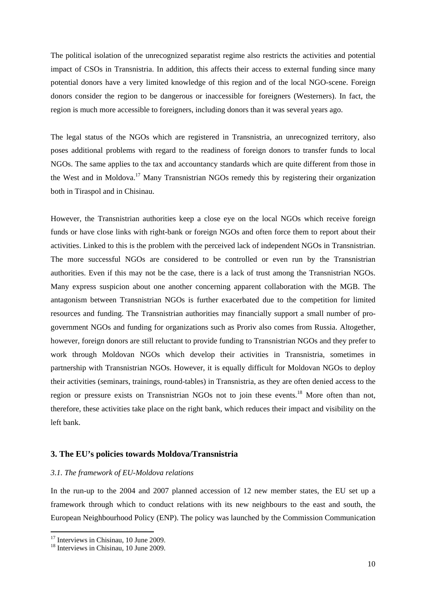The political isolation of the unrecognized separatist regime also restricts the activities and potential impact of CSOs in Transnistria. In addition, this affects their access to external funding since many potential donors have a very limited knowledge of this region and of the local NGO-scene. Foreign donors consider the region to be dangerous or inaccessible for foreigners (Westerners). In fact, the region is much more accessible to foreigners, including donors than it was several years ago.

The legal status of the NGOs which are registered in Transnistria, an unrecognized territory, also poses additional problems with regard to the readiness of foreign donors to transfer funds to local NGOs. The same applies to the tax and accountancy standards which are quite different from those in the West and in Moldova.17 Many Transnistrian NGOs remedy this by registering their organization both in Tiraspol and in Chisinau.

However, the Transnistrian authorities keep a close eye on the local NGOs which receive foreign funds or have close links with right-bank or foreign NGOs and often force them to report about their activities. Linked to this is the problem with the perceived lack of independent NGOs in Transnistrian. The more successful NGOs are considered to be controlled or even run by the Transnistrian authorities. Even if this may not be the case, there is a lack of trust among the Transnistrian NGOs. Many express suspicion about one another concerning apparent collaboration with the MGB. The antagonism between Transnistrian NGOs is further exacerbated due to the competition for limited resources and funding. The Transnistrian authorities may financially support a small number of progovernment NGOs and funding for organizations such as Proriv also comes from Russia. Altogether, however, foreign donors are still reluctant to provide funding to Transnistrian NGOs and they prefer to work through Moldovan NGOs which develop their activities in Transnistria, sometimes in partnership with Transnistrian NGOs. However, it is equally difficult for Moldovan NGOs to deploy their activities (seminars, trainings, round-tables) in Transnistria, as they are often denied access to the region or pressure exists on Transnistrian NGOs not to join these events.<sup>18</sup> More often than not, therefore, these activities take place on the right bank, which reduces their impact and visibility on the left bank.

## **3. The EU's policies towards Moldova/Transnistria**

#### *3.1. The framework of EU-Moldova relations*

In the run-up to the 2004 and 2007 planned accession of 12 new member states, the EU set up a framework through which to conduct relations with its new neighbours to the east and south, the European Neighbourhood Policy (ENP). The policy was launched by the Commission Communication

 <sup>17</sup> Interviews in Chisinau, 10 June 2009.

<sup>&</sup>lt;sup>18</sup> Interviews in Chisinau, 10 June 2009.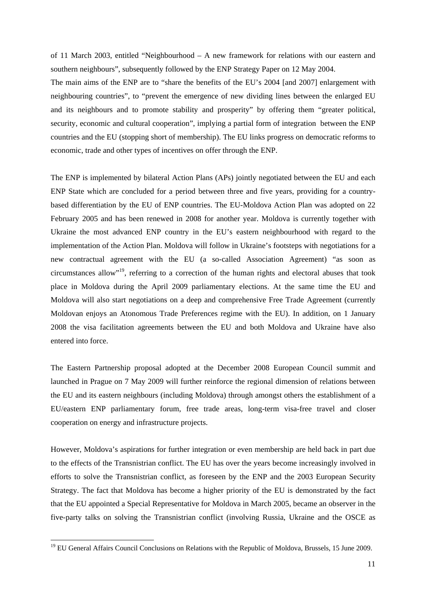of 11 March 2003, entitled "Neighbourhood – A new framework for relations with our eastern and southern neighbours", subsequently followed by the ENP Strategy Paper on 12 May 2004.

The main aims of the ENP are to "share the benefits of the EU's 2004 [and 2007] enlargement with neighbouring countries", to "prevent the emergence of new dividing lines between the enlarged EU and its neighbours and to promote stability and prosperity" by offering them "greater political, security, economic and cultural cooperation", implying a partial form of integration between the ENP countries and the EU (stopping short of membership). The EU links progress on democratic reforms to economic, trade and other types of incentives on offer through the ENP.

The ENP is implemented by bilateral Action Plans (APs) jointly negotiated between the EU and each ENP State which are concluded for a period between three and five years, providing for a countrybased differentiation by the EU of ENP countries. The EU-Moldova Action Plan was adopted on 22 February 2005 and has been renewed in 2008 for another year. Moldova is currently together with Ukraine the most advanced ENP country in the EU's eastern neighbourhood with regard to the implementation of the Action Plan. Moldova will follow in Ukraine's footsteps with negotiations for a new contractual agreement with the EU (a so-called Association Agreement) "as soon as circumstances allow"19, referring to a correction of the human rights and electoral abuses that took place in Moldova during the April 2009 parliamentary elections. At the same time the EU and Moldova will also start negotiations on a deep and comprehensive Free Trade Agreement (currently Moldovan enjoys an Atonomous Trade Preferences regime with the EU). In addition, on 1 January 2008 the visa facilitation agreements between the EU and both Moldova and Ukraine have also entered into force.

The Eastern Partnership proposal adopted at the December 2008 European Council summit and launched in Prague on 7 May 2009 will further reinforce the regional dimension of relations between the EU and its eastern neighbours (including Moldova) through amongst others the establishment of a EU/eastern ENP parliamentary forum, free trade areas, long-term visa-free travel and closer cooperation on energy and infrastructure projects.

However, Moldova's aspirations for further integration or even membership are held back in part due to the effects of the Transnistrian conflict. The EU has over the years become increasingly involved in efforts to solve the Transnistrian conflict, as foreseen by the ENP and the 2003 European Security Strategy. The fact that Moldova has become a higher priority of the EU is demonstrated by the fact that the EU appointed a Special Representative for Moldova in March 2005, became an observer in the five-party talks on solving the Transnistrian conflict (involving Russia, Ukraine and the OSCE as

<sup>&</sup>lt;sup>19</sup> EU General Affairs Council Conclusions on Relations with the Republic of Moldova, Brussels, 15 June 2009.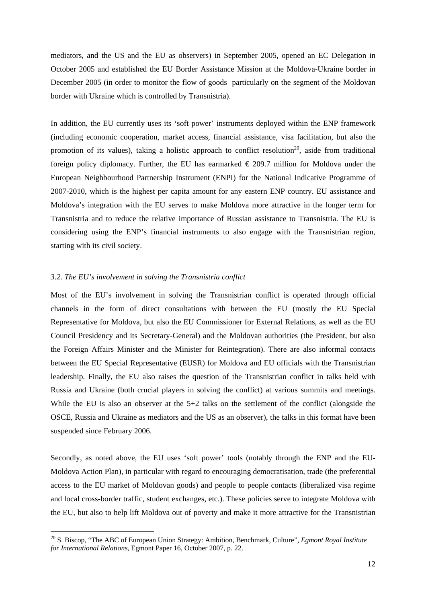mediators, and the US and the EU as observers) in September 2005, opened an EC Delegation in October 2005 and established the EU Border Assistance Mission at the Moldova-Ukraine border in December 2005 (in order to monitor the flow of goods particularly on the segment of the Moldovan border with Ukraine which is controlled by Transnistria).

In addition, the EU currently uses its 'soft power' instruments deployed within the ENP framework (including economic cooperation, market access, financial assistance, visa facilitation, but also the promotion of its values), taking a holistic approach to conflict resolution<sup>20</sup>, aside from traditional foreign policy diplomacy. Further, the EU has earmarked  $\epsilon$  209.7 million for Moldova under the European Neighbourhood Partnership Instrument (ENPI) for the National Indicative Programme of 2007-2010, which is the highest per capita amount for any eastern ENP country. EU assistance and Moldova's integration with the EU serves to make Moldova more attractive in the longer term for Transnistria and to reduce the relative importance of Russian assistance to Transnistria. The EU is considering using the ENP's financial instruments to also engage with the Transnistrian region, starting with its civil society.

#### *3.2. The EU's involvement in solving the Transnistria conflict*

Most of the EU's involvement in solving the Transnistrian conflict is operated through official channels in the form of direct consultations with between the EU (mostly the EU Special Representative for Moldova, but also the EU Commissioner for External Relations, as well as the EU Council Presidency and its Secretary-General) and the Moldovan authorities (the President, but also the Foreign Affairs Minister and the Minister for Reintegration). There are also informal contacts between the EU Special Representative (EUSR) for Moldova and EU officials with the Transnistrian leadership. Finally, the EU also raises the question of the Transnistrian conflict in talks held with Russia and Ukraine (both crucial players in solving the conflict) at various summits and meetings. While the EU is also an observer at the 5+2 talks on the settlement of the conflict (alongside the OSCE, Russia and Ukraine as mediators and the US as an observer), the talks in this format have been suspended since February 2006.

Secondly, as noted above, the EU uses 'soft power' tools (notably through the ENP and the EU-Moldova Action Plan), in particular with regard to encouraging democratisation, trade (the preferential access to the EU market of Moldovan goods) and people to people contacts (liberalized visa regime and local cross-border traffic, student exchanges, etc.). These policies serve to integrate Moldova with the EU, but also to help lift Moldova out of poverty and make it more attractive for the Transnistrian

<sup>&</sup>lt;sup>20</sup> S. Biscop, "The ABC of European Union Strategy: Ambition, Benchmark, Culture", *Egmont Royal Institute for International Relations,* Egmont Paper 16, October 2007, p. 22.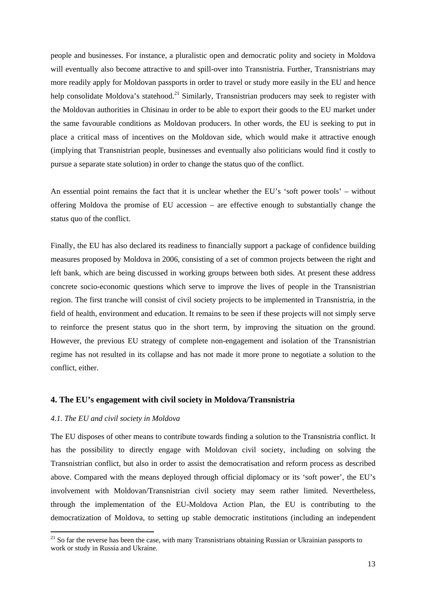people and businesses. For instance, a pluralistic open and democratic polity and society in Moldova will eventually also become attractive to and spill-over into Transnistria. Further, Transnistrians may more readily apply for Moldovan passports in order to travel or study more easily in the EU and hence help consolidate Moldova's statehood.<sup>21</sup> Similarly, Transnistrian producers may seek to register with the Moldovan authorities in Chisinau in order to be able to export their goods to the EU market under the same favourable conditions as Moldovan producers. In other words, the EU is seeking to put in place a critical mass of incentives on the Moldovan side, which would make it attractive enough (implying that Transnistrian people, businesses and eventually also politicians would find it costly to pursue a separate state solution) in order to change the status quo of the conflict.

An essential point remains the fact that it is unclear whether the EU's 'soft power tools' – without offering Moldova the promise of EU accession – are effective enough to substantially change the status quo of the conflict.

Finally, the EU has also declared its readiness to financially support a package of confidence building measures proposed by Moldova in 2006, consisting of a set of common projects between the right and left bank, which are being discussed in working groups between both sides. At present these address concrete socio-economic questions which serve to improve the lives of people in the Transnistrian region. The first tranche will consist of civil society projects to be implemented in Transnistria, in the field of health, environment and education. It remains to be seen if these projects will not simply serve to reinforce the present status quo in the short term, by improving the situation on the ground. However, the previous EU strategy of complete non-engagement and isolation of the Transnistrian regime has not resulted in its collapse and has not made it more prone to negotiate a solution to the conflict, either.

## **4. The EU's engagement with civil society in Moldova/Transnistria**

# *4.1. The EU and civil society in Moldova*

The EU disposes of other means to contribute towards finding a solution to the Transnistria conflict. It has the possibility to directly engage with Moldovan civil society, including on solving the Transnistrian conflict, but also in order to assist the democratisation and reform process as described above. Compared with the means deployed through official diplomacy or its 'soft power', the EU's involvement with Moldovan/Transnistrian civil society may seem rather limited. Nevertheless, through the implementation of the EU-Moldova Action Plan, the EU is contributing to the democratization of Moldova, to setting up stable democratic institutions (including an independent

<sup>&</sup>lt;sup>21</sup> So far the reverse has been the case, with many Transnistrians obtaining Russian or Ukrainian passports to work or study in Russia and Ukraine.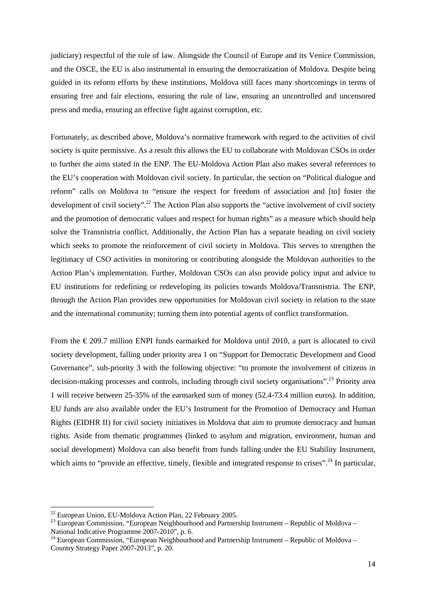judiciary) respectful of the rule of law. Alongside the Council of Europe and its Venice Commission, and the OSCE, the EU is also instrumental in ensuring the democratization of Moldova. Despite being guided in its reform efforts by these institutions, Moldova still faces many shortcomings in terms of ensuring free and fair elections, ensuring the rule of law, ensuring an uncontrolled and uncensored press and media, ensuring an effective fight against corruption, etc.

Fortunately, as described above, Moldova's normative framework with regard to the activities of civil society is quite permissive. As a result this allows the EU to collaborate with Moldovan CSOs in order to further the aims stated in the ENP. The EU-Moldova Action Plan also makes several references to the EU's cooperation with Moldovan civil society. In particular, the section on "Political dialogue and reform" calls on Moldova to "ensure the respect for freedom of association and [to] foster the development of civil society".<sup>22</sup> The Action Plan also supports the "active involvement of civil society" and the promotion of democratic values and respect for human rights" as a measure which should help solve the Transnistria conflict. Additionally, the Action Plan has a separate heading on civil society which seeks to promote the reinforcement of civil society in Moldova. This serves to strengthen the legitimacy of CSO activities in monitoring or contributing alongside the Moldovan authorities to the Action Plan's implementation. Further, Moldovan CSOs can also provide policy input and advice to EU institutions for redefining or redeveloping its policies towards Moldova/Transnistria. The ENP, through the Action Plan provides new opportunities for Moldovan civil society in relation to the state and the international community; turning them into potential agents of conflict transformation.

From the  $\epsilon$ 209.7 million ENPI funds earmarked for Moldova until 2010, a part is allocated to civil society development, falling under priority area 1 on "Support for Democratic Development and Good Governance", sub-priority 3 with the following objective: "to promote the involvement of citizens in decision-making processes and controls, including through civil society organisations".<sup>23</sup> Priority area 1 will receive between 25-35% of the earmarked sum of money (52.4-73.4 million euros). In addition, EU funds are also available under the EU's Instrument for the Promotion of Democracy and Human Rights (EIDHR II) for civil society initiatives in Moldova that aim to promote democracy and human rights. Aside from thematic programmes (linked to asylum and migration, environment, human and social development) Moldova can also benefit from funds falling under the EU Stability Instrument, which aims to "provide an effective, timely, flexible and integrated response to crises".<sup>24</sup> In particular,

 $22$  European Union, EU-Moldova Action Plan, 22 February 2005.

<sup>&</sup>lt;sup>23</sup> European Commission, "European Neighbourhood and Partnership Instrument – Republic of Moldova – National Indicative Programme 2007-2010", p. 6.

 $^{24}$  European Commission, "European Neighbourhood and Partnership Instrument – Republic of Moldova – Country Strategy Paper 2007-2013", p. 20.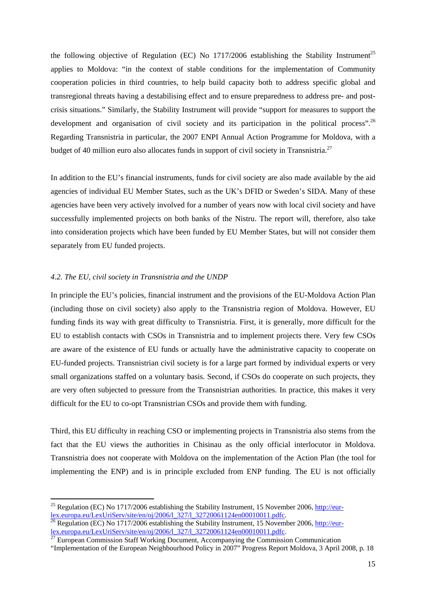the following objective of Regulation (EC) No  $1717/2006$  establishing the Stability Instrument<sup>25</sup> applies to Moldova: "in the context of stable conditions for the implementation of Community cooperation policies in third countries, to help build capacity both to address specific global and transregional threats having a destabilising effect and to ensure preparedness to address pre- and postcrisis situations." Similarly, the Stability Instrument will provide "support for measures to support the development and organisation of civil society and its participation in the political process".  $26$ Regarding Transnistria in particular, the 2007 ENPI Annual Action Programme for Moldova, with a budget of 40 million euro also allocates funds in support of civil society in Transnistria.<sup>27</sup>

In addition to the EU's financial instruments, funds for civil society are also made available by the aid agencies of individual EU Member States, such as the UK's DFID or Sweden's SIDA. Many of these agencies have been very actively involved for a number of years now with local civil society and have successfully implemented projects on both banks of the Nistru. The report will, therefore, also take into consideration projects which have been funded by EU Member States, but will not consider them separately from EU funded projects.

#### *4.2. The EU, civil society in Transnistria and the UNDP*

In principle the EU's policies, financial instrument and the provisions of the EU-Moldova Action Plan (including those on civil society) also apply to the Transnistria region of Moldova. However, EU funding finds its way with great difficulty to Transnistria. First, it is generally, more difficult for the EU to establish contacts with CSOs in Transnistria and to implement projects there. Very few CSOs are aware of the existence of EU funds or actually have the administrative capacity to cooperate on EU-funded projects. Transnistrian civil society is for a large part formed by individual experts or very small organizations staffed on a voluntary basis. Second, if CSOs do cooperate on such projects, they are very often subjected to pressure from the Transnistrian authorities. In practice, this makes it very difficult for the EU to co-opt Transnistrian CSOs and provide them with funding.

Third, this EU difficulty in reaching CSO or implementing projects in Transnistria also stems from the fact that the EU views the authorities in Chisinau as the only official interlocutor in Moldova. Transnistria does not cooperate with Moldova on the implementation of the Action Plan (the tool for implementing the ENP) and is in principle excluded from ENP funding. The EU is not officially

<sup>&</sup>lt;sup>25</sup> Regulation (EC) No 1717/2006 establishing the Stability Instrument, 15 November 2006,  $\frac{http://eur-}$ lex.europa.eu/LexUriServ/site/en/oj/2006/l\_327/l\_32720061124en00010011.pdfc.<br><sup>26</sup> Regulation (EC) No 1717/2006 establishing the Stability Instrument, 15 November 2006, http://eur-

lex.europa.eu/LexUriServ/site/en/oj/2006/l\_327/l\_32720061124en00010011.pdfc. 2000, http://european Commission Staff Working Document, Accompanying the Commission Communication

<sup>&</sup>quot;Implementation of the European Neighbourhood Policy in 2007" Progress Report Moldova, 3 April 2008, p. 18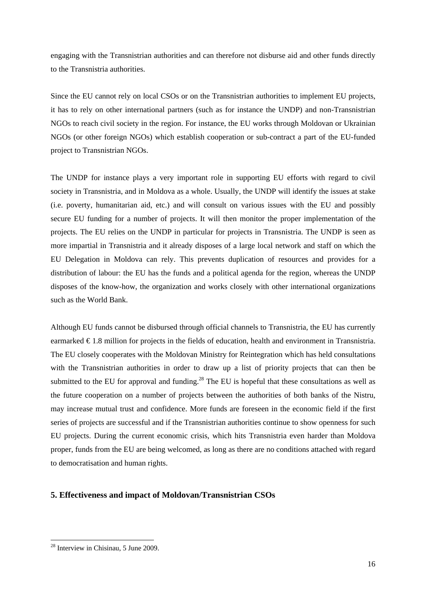engaging with the Transnistrian authorities and can therefore not disburse aid and other funds directly to the Transnistria authorities.

Since the EU cannot rely on local CSOs or on the Transnistrian authorities to implement EU projects, it has to rely on other international partners (such as for instance the UNDP) and non-Transnistrian NGOs to reach civil society in the region. For instance, the EU works through Moldovan or Ukrainian NGOs (or other foreign NGOs) which establish cooperation or sub-contract a part of the EU-funded project to Transnistrian NGOs.

The UNDP for instance plays a very important role in supporting EU efforts with regard to civil society in Transnistria, and in Moldova as a whole. Usually, the UNDP will identify the issues at stake (i.e. poverty, humanitarian aid, etc.) and will consult on various issues with the EU and possibly secure EU funding for a number of projects. It will then monitor the proper implementation of the projects. The EU relies on the UNDP in particular for projects in Transnistria. The UNDP is seen as more impartial in Transnistria and it already disposes of a large local network and staff on which the EU Delegation in Moldova can rely. This prevents duplication of resources and provides for a distribution of labour: the EU has the funds and a political agenda for the region, whereas the UNDP disposes of the know-how, the organization and works closely with other international organizations such as the World Bank.

Although EU funds cannot be disbursed through official channels to Transnistria, the EU has currently earmarked € 1.8 million for projects in the fields of education, health and environment in Transnistria. The EU closely cooperates with the Moldovan Ministry for Reintegration which has held consultations with the Transnistrian authorities in order to draw up a list of priority projects that can then be submitted to the EU for approval and funding.<sup>28</sup> The EU is hopeful that these consultations as well as the future cooperation on a number of projects between the authorities of both banks of the Nistru, may increase mutual trust and confidence. More funds are foreseen in the economic field if the first series of projects are successful and if the Transnistrian authorities continue to show openness for such EU projects. During the current economic crisis, which hits Transnistria even harder than Moldova proper, funds from the EU are being welcomed, as long as there are no conditions attached with regard to democratisation and human rights.

# **5. Effectiveness and impact of Moldovan/Transnistrian CSOs**

 <sup>28</sup> Interview in Chisinau, 5 June 2009.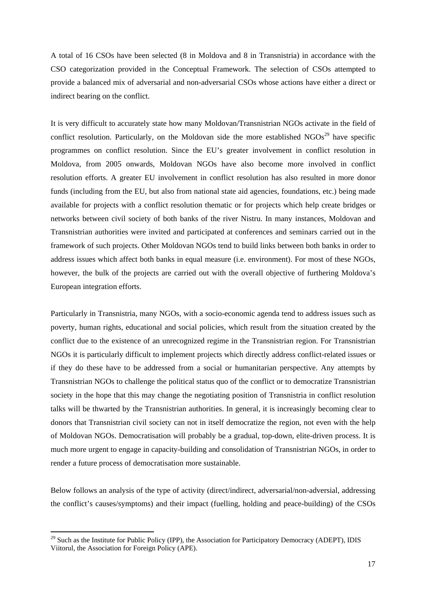A total of 16 CSOs have been selected (8 in Moldova and 8 in Transnistria) in accordance with the CSO categorization provided in the Conceptual Framework. The selection of CSOs attempted to provide a balanced mix of adversarial and non-adversarial CSOs whose actions have either a direct or indirect bearing on the conflict.

It is very difficult to accurately state how many Moldovan/Transnistrian NGOs activate in the field of conflict resolution. Particularly, on the Moldovan side the more established  $NGOs<sup>29</sup>$  have specific programmes on conflict resolution. Since the EU's greater involvement in conflict resolution in Moldova, from 2005 onwards, Moldovan NGOs have also become more involved in conflict resolution efforts. A greater EU involvement in conflict resolution has also resulted in more donor funds (including from the EU, but also from national state aid agencies, foundations, etc.) being made available for projects with a conflict resolution thematic or for projects which help create bridges or networks between civil society of both banks of the river Nistru. In many instances, Moldovan and Transnistrian authorities were invited and participated at conferences and seminars carried out in the framework of such projects. Other Moldovan NGOs tend to build links between both banks in order to address issues which affect both banks in equal measure (i.e. environment). For most of these NGOs, however, the bulk of the projects are carried out with the overall objective of furthering Moldova's European integration efforts.

Particularly in Transnistria, many NGOs, with a socio-economic agenda tend to address issues such as poverty, human rights, educational and social policies, which result from the situation created by the conflict due to the existence of an unrecognized regime in the Transnistrian region. For Transnistrian NGOs it is particularly difficult to implement projects which directly address conflict-related issues or if they do these have to be addressed from a social or humanitarian perspective. Any attempts by Transnistrian NGOs to challenge the political status quo of the conflict or to democratize Transnistrian society in the hope that this may change the negotiating position of Transnistria in conflict resolution talks will be thwarted by the Transnistrian authorities. In general, it is increasingly becoming clear to donors that Transnistrian civil society can not in itself democratize the region, not even with the help of Moldovan NGOs. Democratisation will probably be a gradual, top-down, elite-driven process. It is much more urgent to engage in capacity-building and consolidation of Transnistrian NGOs, in order to render a future process of democratisation more sustainable.

Below follows an analysis of the type of activity (direct/indirect, adversarial/non-adversial, addressing the conflict's causes/symptoms) and their impact (fuelling, holding and peace-building) of the CSOs

<sup>&</sup>lt;sup>29</sup> Such as the Institute for Public Policy (IPP), the Association for Participatory Democracy (ADEPT), IDIS Viitorul, the Association for Foreign Policy (APE).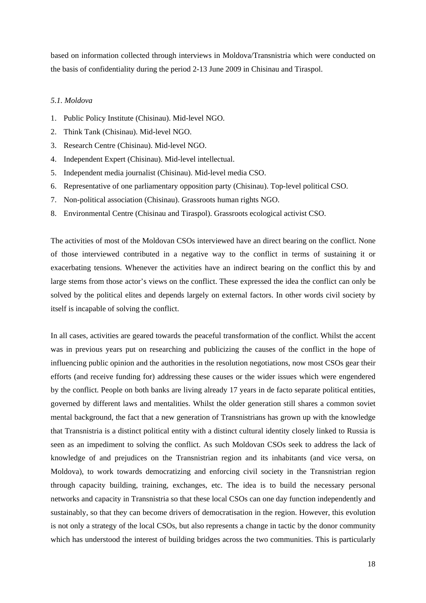based on information collected through interviews in Moldova/Transnistria which were conducted on the basis of confidentiality during the period 2-13 June 2009 in Chisinau and Tiraspol.

# *5.1. Moldova*

- 1. Public Policy Institute (Chisinau). Mid-level NGO.
- 2. Think Tank (Chisinau). Mid-level NGO.
- 3. Research Centre (Chisinau). Mid-level NGO.
- 4. Independent Expert (Chisinau). Mid-level intellectual.
- 5. Independent media journalist (Chisinau). Mid-level media CSO.
- 6. Representative of one parliamentary opposition party (Chisinau). Top-level political CSO.
- 7. Non-political association (Chisinau). Grassroots human rights NGO.
- 8. Environmental Centre (Chisinau and Tiraspol). Grassroots ecological activist CSO.

The activities of most of the Moldovan CSOs interviewed have an direct bearing on the conflict. None of those interviewed contributed in a negative way to the conflict in terms of sustaining it or exacerbating tensions. Whenever the activities have an indirect bearing on the conflict this by and large stems from those actor's views on the conflict. These expressed the idea the conflict can only be solved by the political elites and depends largely on external factors. In other words civil society by itself is incapable of solving the conflict.

In all cases, activities are geared towards the peaceful transformation of the conflict. Whilst the accent was in previous years put on researching and publicizing the causes of the conflict in the hope of influencing public opinion and the authorities in the resolution negotiations, now most CSOs gear their efforts (and receive funding for) addressing these causes or the wider issues which were engendered by the conflict. People on both banks are living already 17 years in de facto separate political entities, governed by different laws and mentalities. Whilst the older generation still shares a common soviet mental background, the fact that a new generation of Transnistrians has grown up with the knowledge that Transnistria is a distinct political entity with a distinct cultural identity closely linked to Russia is seen as an impediment to solving the conflict. As such Moldovan CSOs seek to address the lack of knowledge of and prejudices on the Transnistrian region and its inhabitants (and vice versa, on Moldova), to work towards democratizing and enforcing civil society in the Transnistrian region through capacity building, training, exchanges, etc. The idea is to build the necessary personal networks and capacity in Transnistria so that these local CSOs can one day function independently and sustainably, so that they can become drivers of democratisation in the region. However, this evolution is not only a strategy of the local CSOs, but also represents a change in tactic by the donor community which has understood the interest of building bridges across the two communities. This is particularly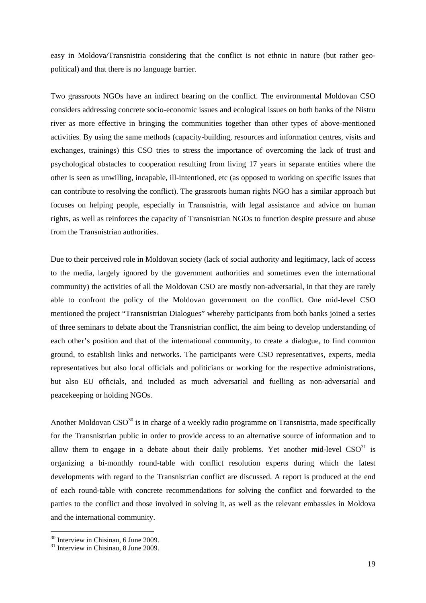easy in Moldova/Transnistria considering that the conflict is not ethnic in nature (but rather geopolitical) and that there is no language barrier.

Two grassroots NGOs have an indirect bearing on the conflict. The environmental Moldovan CSO considers addressing concrete socio-economic issues and ecological issues on both banks of the Nistru river as more effective in bringing the communities together than other types of above-mentioned activities. By using the same methods (capacity-building, resources and information centres, visits and exchanges, trainings) this CSO tries to stress the importance of overcoming the lack of trust and psychological obstacles to cooperation resulting from living 17 years in separate entities where the other is seen as unwilling, incapable, ill-intentioned, etc (as opposed to working on specific issues that can contribute to resolving the conflict). The grassroots human rights NGO has a similar approach but focuses on helping people, especially in Transnistria, with legal assistance and advice on human rights, as well as reinforces the capacity of Transnistrian NGOs to function despite pressure and abuse from the Transnistrian authorities.

Due to their perceived role in Moldovan society (lack of social authority and legitimacy, lack of access to the media, largely ignored by the government authorities and sometimes even the international community) the activities of all the Moldovan CSO are mostly non-adversarial, in that they are rarely able to confront the policy of the Moldovan government on the conflict. One mid-level CSO mentioned the project "Transnistrian Dialogues" whereby participants from both banks joined a series of three seminars to debate about the Transnistrian conflict, the aim being to develop understanding of each other's position and that of the international community, to create a dialogue, to find common ground, to establish links and networks. The participants were CSO representatives, experts, media representatives but also local officials and politicians or working for the respective administrations, but also EU officials, and included as much adversarial and fuelling as non-adversarial and peacekeeping or holding NGOs.

Another Moldovan  $\text{CSO}^{30}$  is in charge of a weekly radio programme on Transnistria, made specifically for the Transnistrian public in order to provide access to an alternative source of information and to allow them to engage in a debate about their daily problems. Yet another mid-level  $CSO<sup>31</sup>$  is organizing a bi-monthly round-table with conflict resolution experts during which the latest developments with regard to the Transnistrian conflict are discussed. A report is produced at the end of each round-table with concrete recommendations for solving the conflict and forwarded to the parties to the conflict and those involved in solving it, as well as the relevant embassies in Moldova and the international community.

 30 Interview in Chisinau, 6 June 2009.

<sup>&</sup>lt;sup>31</sup> Interview in Chisinau, 8 June 2009.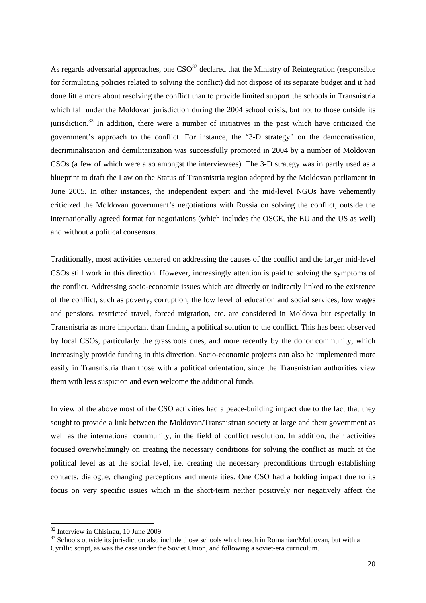As regards adversarial approaches, one  $\text{CSO}^{32}$  declared that the Ministry of Reintegration (responsible for formulating policies related to solving the conflict) did not dispose of its separate budget and it had done little more about resolving the conflict than to provide limited support the schools in Transnistria which fall under the Moldovan jurisdiction during the 2004 school crisis, but not to those outside its jurisdiction.<sup>33</sup> In addition, there were a number of initiatives in the past which have criticized the government's approach to the conflict. For instance, the "3-D strategy" on the democratisation, decriminalisation and demilitarization was successfully promoted in 2004 by a number of Moldovan CSOs (a few of which were also amongst the interviewees). The 3-D strategy was in partly used as a blueprint to draft the Law on the Status of Transnistria region adopted by the Moldovan parliament in June 2005. In other instances, the independent expert and the mid-level NGOs have vehemently criticized the Moldovan government's negotiations with Russia on solving the conflict, outside the internationally agreed format for negotiations (which includes the OSCE, the EU and the US as well) and without a political consensus.

Traditionally, most activities centered on addressing the causes of the conflict and the larger mid-level CSOs still work in this direction. However, increasingly attention is paid to solving the symptoms of the conflict. Addressing socio-economic issues which are directly or indirectly linked to the existence of the conflict, such as poverty, corruption, the low level of education and social services, low wages and pensions, restricted travel, forced migration, etc. are considered in Moldova but especially in Transnistria as more important than finding a political solution to the conflict. This has been observed by local CSOs, particularly the grassroots ones, and more recently by the donor community, which increasingly provide funding in this direction. Socio-economic projects can also be implemented more easily in Transnistria than those with a political orientation, since the Transnistrian authorities view them with less suspicion and even welcome the additional funds.

In view of the above most of the CSO activities had a peace-building impact due to the fact that they sought to provide a link between the Moldovan/Transnistrian society at large and their government as well as the international community, in the field of conflict resolution. In addition, their activities focused overwhelmingly on creating the necessary conditions for solving the conflict as much at the political level as at the social level, i.e. creating the necessary preconditions through establishing contacts, dialogue, changing perceptions and mentalities. One CSO had a holding impact due to its focus on very specific issues which in the short-term neither positively nor negatively affect the

 <sup>32</sup> Interview in Chisinau, 10 June 2009.

<sup>&</sup>lt;sup>33</sup> Schools outside its jurisdiction also include those schools which teach in Romanian/Moldovan, but with a Cyrillic script, as was the case under the Soviet Union, and following a soviet-era curriculum.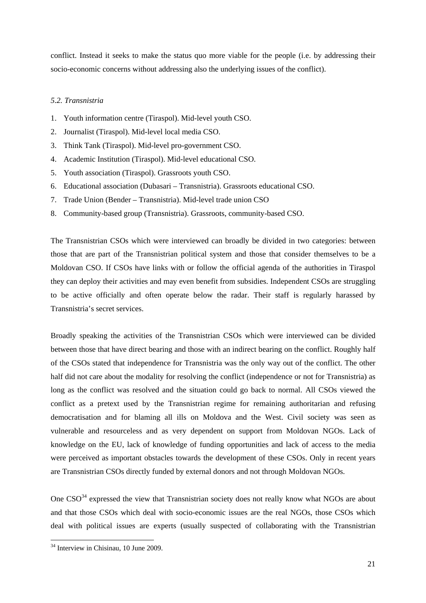conflict. Instead it seeks to make the status quo more viable for the people (i.e. by addressing their socio-economic concerns without addressing also the underlying issues of the conflict).

# *5.2. Transnistria*

- 1. Youth information centre (Tiraspol). Mid-level youth CSO.
- 2. Journalist (Tiraspol). Mid-level local media CSO.
- 3. Think Tank (Tiraspol). Mid-level pro-government CSO.
- 4. Academic Institution (Tiraspol). Mid-level educational CSO.
- 5. Youth association (Tiraspol). Grassroots youth CSO.
- 6. Educational association (Dubasari Transnistria). Grassroots educational CSO.
- 7. Trade Union (Bender Transnistria). Mid-level trade union CSO
- 8. Community-based group (Transnistria). Grassroots, community-based CSO.

The Transnistrian CSOs which were interviewed can broadly be divided in two categories: between those that are part of the Transnistrian political system and those that consider themselves to be a Moldovan CSO. If CSOs have links with or follow the official agenda of the authorities in Tiraspol they can deploy their activities and may even benefit from subsidies. Independent CSOs are struggling to be active officially and often operate below the radar. Their staff is regularly harassed by Transnistria's secret services.

Broadly speaking the activities of the Transnistrian CSOs which were interviewed can be divided between those that have direct bearing and those with an indirect bearing on the conflict. Roughly half of the CSOs stated that independence for Transnistria was the only way out of the conflict. The other half did not care about the modality for resolving the conflict (independence or not for Transnistria) as long as the conflict was resolved and the situation could go back to normal. All CSOs viewed the conflict as a pretext used by the Transnistrian regime for remaining authoritarian and refusing democratisation and for blaming all ills on Moldova and the West. Civil society was seen as vulnerable and resourceless and as very dependent on support from Moldovan NGOs. Lack of knowledge on the EU, lack of knowledge of funding opportunities and lack of access to the media were perceived as important obstacles towards the development of these CSOs. Only in recent years are Transnistrian CSOs directly funded by external donors and not through Moldovan NGOs.

One CSO<sup>34</sup> expressed the view that Transnistrian society does not really know what NGOs are about and that those CSOs which deal with socio-economic issues are the real NGOs, those CSOs which deal with political issues are experts (usually suspected of collaborating with the Transnistrian

 <sup>34</sup> Interview in Chisinau, 10 June 2009.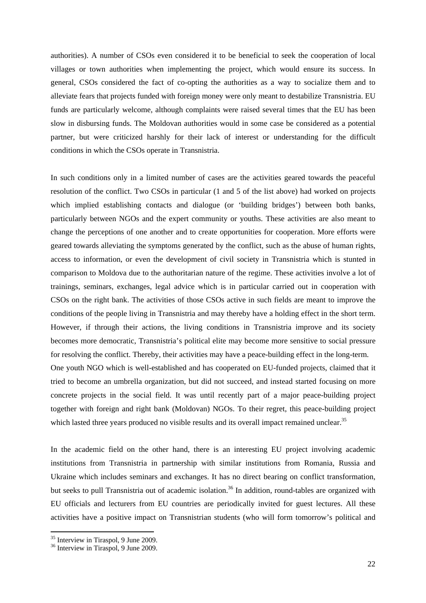authorities). A number of CSOs even considered it to be beneficial to seek the cooperation of local villages or town authorities when implementing the project, which would ensure its success. In general, CSOs considered the fact of co-opting the authorities as a way to socialize them and to alleviate fears that projects funded with foreign money were only meant to destabilize Transnistria. EU funds are particularly welcome, although complaints were raised several times that the EU has been slow in disbursing funds. The Moldovan authorities would in some case be considered as a potential partner, but were criticized harshly for their lack of interest or understanding for the difficult conditions in which the CSOs operate in Transnistria.

In such conditions only in a limited number of cases are the activities geared towards the peaceful resolution of the conflict. Two CSOs in particular (1 and 5 of the list above) had worked on projects which implied establishing contacts and dialogue (or 'building bridges') between both banks, particularly between NGOs and the expert community or youths. These activities are also meant to change the perceptions of one another and to create opportunities for cooperation. More efforts were geared towards alleviating the symptoms generated by the conflict, such as the abuse of human rights, access to information, or even the development of civil society in Transnistria which is stunted in comparison to Moldova due to the authoritarian nature of the regime. These activities involve a lot of trainings, seminars, exchanges, legal advice which is in particular carried out in cooperation with CSOs on the right bank. The activities of those CSOs active in such fields are meant to improve the conditions of the people living in Transnistria and may thereby have a holding effect in the short term. However, if through their actions, the living conditions in Transnistria improve and its society becomes more democratic, Transnistria's political elite may become more sensitive to social pressure for resolving the conflict. Thereby, their activities may have a peace-building effect in the long-term. One youth NGO which is well-established and has cooperated on EU-funded projects, claimed that it tried to become an umbrella organization, but did not succeed, and instead started focusing on more concrete projects in the social field. It was until recently part of a major peace-building project together with foreign and right bank (Moldovan) NGOs. To their regret, this peace-building project which lasted three years produced no visible results and its overall impact remained unclear.<sup>35</sup>

In the academic field on the other hand, there is an interesting EU project involving academic institutions from Transnistria in partnership with similar institutions from Romania, Russia and Ukraine which includes seminars and exchanges. It has no direct bearing on conflict transformation, but seeks to pull Transnistria out of academic isolation.<sup>36</sup> In addition, round-tables are organized with EU officials and lecturers from EU countries are periodically invited for guest lectures. All these activities have a positive impact on Transnistrian students (who will form tomorrow's political and

 <sup>35</sup> Interview in Tiraspol, 9 June 2009.

<sup>&</sup>lt;sup>36</sup> Interview in Tiraspol, 9 June 2009.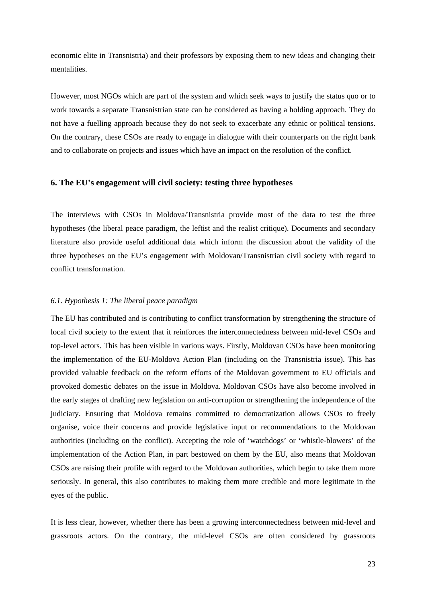economic elite in Transnistria) and their professors by exposing them to new ideas and changing their mentalities.

However, most NGOs which are part of the system and which seek ways to justify the status quo or to work towards a separate Transnistrian state can be considered as having a holding approach. They do not have a fuelling approach because they do not seek to exacerbate any ethnic or political tensions. On the contrary, these CSOs are ready to engage in dialogue with their counterparts on the right bank and to collaborate on projects and issues which have an impact on the resolution of the conflict.

#### **6. The EU's engagement will civil society: testing three hypotheses**

The interviews with CSOs in Moldova/Transnistria provide most of the data to test the three hypotheses (the liberal peace paradigm, the leftist and the realist critique). Documents and secondary literature also provide useful additional data which inform the discussion about the validity of the three hypotheses on the EU's engagement with Moldovan/Transnistrian civil society with regard to conflict transformation.

#### *6.1. Hypothesis 1: The liberal peace paradigm*

The EU has contributed and is contributing to conflict transformation by strengthening the structure of local civil society to the extent that it reinforces the interconnectedness between mid-level CSOs and top-level actors. This has been visible in various ways. Firstly, Moldovan CSOs have been monitoring the implementation of the EU-Moldova Action Plan (including on the Transnistria issue). This has provided valuable feedback on the reform efforts of the Moldovan government to EU officials and provoked domestic debates on the issue in Moldova. Moldovan CSOs have also become involved in the early stages of drafting new legislation on anti-corruption or strengthening the independence of the judiciary. Ensuring that Moldova remains committed to democratization allows CSOs to freely organise, voice their concerns and provide legislative input or recommendations to the Moldovan authorities (including on the conflict). Accepting the role of 'watchdogs' or 'whistle-blowers' of the implementation of the Action Plan, in part bestowed on them by the EU, also means that Moldovan CSOs are raising their profile with regard to the Moldovan authorities, which begin to take them more seriously. In general, this also contributes to making them more credible and more legitimate in the eyes of the public.

It is less clear, however, whether there has been a growing interconnectedness between mid-level and grassroots actors. On the contrary, the mid-level CSOs are often considered by grassroots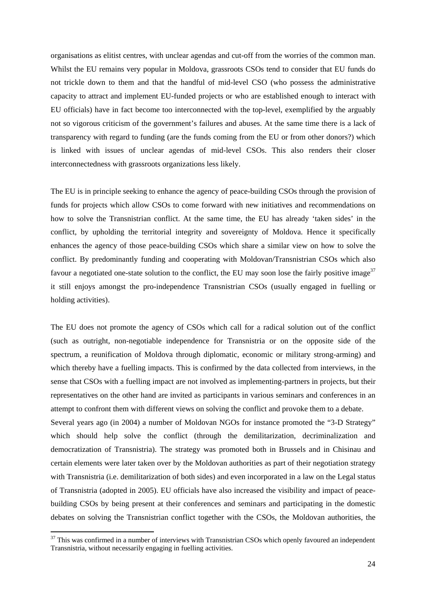organisations as elitist centres, with unclear agendas and cut-off from the worries of the common man. Whilst the EU remains very popular in Moldova, grassroots CSOs tend to consider that EU funds do not trickle down to them and that the handful of mid-level CSO (who possess the administrative capacity to attract and implement EU-funded projects or who are established enough to interact with EU officials) have in fact become too interconnected with the top-level, exemplified by the arguably not so vigorous criticism of the government's failures and abuses. At the same time there is a lack of transparency with regard to funding (are the funds coming from the EU or from other donors?) which is linked with issues of unclear agendas of mid-level CSOs. This also renders their closer interconnectedness with grassroots organizations less likely.

The EU is in principle seeking to enhance the agency of peace-building CSOs through the provision of funds for projects which allow CSOs to come forward with new initiatives and recommendations on how to solve the Transnistrian conflict. At the same time, the EU has already 'taken sides' in the conflict, by upholding the territorial integrity and sovereignty of Moldova. Hence it specifically enhances the agency of those peace-building CSOs which share a similar view on how to solve the conflict. By predominantly funding and cooperating with Moldovan/Transnistrian CSOs which also favour a negotiated one-state solution to the conflict, the EU may soon lose the fairly positive image<sup>37</sup> it still enjoys amongst the pro-independence Transnistrian CSOs (usually engaged in fuelling or holding activities).

The EU does not promote the agency of CSOs which call for a radical solution out of the conflict (such as outright, non-negotiable independence for Transnistria or on the opposite side of the spectrum, a reunification of Moldova through diplomatic, economic or military strong-arming) and which thereby have a fuelling impacts. This is confirmed by the data collected from interviews, in the sense that CSOs with a fuelling impact are not involved as implementing-partners in projects, but their representatives on the other hand are invited as participants in various seminars and conferences in an attempt to confront them with different views on solving the conflict and provoke them to a debate. Several years ago (in 2004) a number of Moldovan NGOs for instance promoted the "3-D Strategy"

which should help solve the conflict (through the demilitarization, decriminalization and democratization of Transnistria). The strategy was promoted both in Brussels and in Chisinau and certain elements were later taken over by the Moldovan authorities as part of their negotiation strategy with Transnistria (i.e. demilitarization of both sides) and even incorporated in a law on the Legal status of Transnistria (adopted in 2005). EU officials have also increased the visibility and impact of peacebuilding CSOs by being present at their conferences and seminars and participating in the domestic debates on solving the Transnistrian conflict together with the CSOs, the Moldovan authorities, the

 $37$  This was confirmed in a number of interviews with Transnistrian CSOs which openly favoured an independent Transnistria, without necessarily engaging in fuelling activities.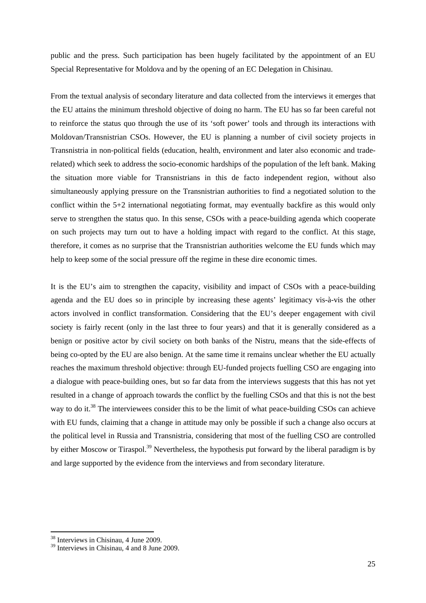public and the press. Such participation has been hugely facilitated by the appointment of an EU Special Representative for Moldova and by the opening of an EC Delegation in Chisinau.

From the textual analysis of secondary literature and data collected from the interviews it emerges that the EU attains the minimum threshold objective of doing no harm. The EU has so far been careful not to reinforce the status quo through the use of its 'soft power' tools and through its interactions with Moldovan/Transnistrian CSOs. However, the EU is planning a number of civil society projects in Transnistria in non-political fields (education, health, environment and later also economic and traderelated) which seek to address the socio-economic hardships of the population of the left bank. Making the situation more viable for Transnistrians in this de facto independent region, without also simultaneously applying pressure on the Transnistrian authorities to find a negotiated solution to the conflict within the 5+2 international negotiating format, may eventually backfire as this would only serve to strengthen the status quo. In this sense, CSOs with a peace-building agenda which cooperate on such projects may turn out to have a holding impact with regard to the conflict. At this stage, therefore, it comes as no surprise that the Transnistrian authorities welcome the EU funds which may help to keep some of the social pressure off the regime in these dire economic times.

It is the EU's aim to strengthen the capacity, visibility and impact of CSOs with a peace-building agenda and the EU does so in principle by increasing these agents' legitimacy vis-à-vis the other actors involved in conflict transformation. Considering that the EU's deeper engagement with civil society is fairly recent (only in the last three to four years) and that it is generally considered as a benign or positive actor by civil society on both banks of the Nistru, means that the side-effects of being co-opted by the EU are also benign. At the same time it remains unclear whether the EU actually reaches the maximum threshold objective: through EU-funded projects fuelling CSO are engaging into a dialogue with peace-building ones, but so far data from the interviews suggests that this has not yet resulted in a change of approach towards the conflict by the fuelling CSOs and that this is not the best way to do it.<sup>38</sup> The interviewees consider this to be the limit of what peace-building CSOs can achieve with EU funds, claiming that a change in attitude may only be possible if such a change also occurs at the political level in Russia and Transnistria, considering that most of the fuelling CSO are controlled by either Moscow or Tiraspol.39 Nevertheless, the hypothesis put forward by the liberal paradigm is by and large supported by the evidence from the interviews and from secondary literature.

 38 Interviews in Chisinau, 4 June 2009.

<sup>&</sup>lt;sup>39</sup> Interviews in Chisinau, 4 and 8 June 2009.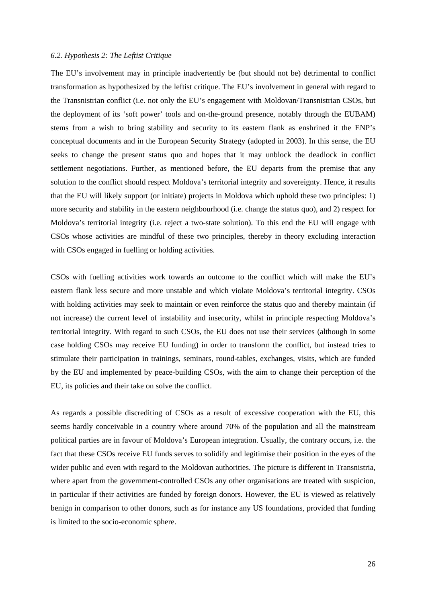## *6.2. Hypothesis 2: The Leftist Critique*

The EU's involvement may in principle inadvertently be (but should not be) detrimental to conflict transformation as hypothesized by the leftist critique. The EU's involvement in general with regard to the Transnistrian conflict (i.e. not only the EU's engagement with Moldovan/Transnistrian CSOs, but the deployment of its 'soft power' tools and on-the-ground presence, notably through the EUBAM) stems from a wish to bring stability and security to its eastern flank as enshrined it the ENP's conceptual documents and in the European Security Strategy (adopted in 2003). In this sense, the EU seeks to change the present status quo and hopes that it may unblock the deadlock in conflict settlement negotiations. Further, as mentioned before, the EU departs from the premise that any solution to the conflict should respect Moldova's territorial integrity and sovereignty. Hence, it results that the EU will likely support (or initiate) projects in Moldova which uphold these two principles: 1) more security and stability in the eastern neighbourhood (i.e. change the status quo), and 2) respect for Moldova's territorial integrity (i.e. reject a two-state solution). To this end the EU will engage with CSOs whose activities are mindful of these two principles, thereby in theory excluding interaction with CSOs engaged in fuelling or holding activities.

CSOs with fuelling activities work towards an outcome to the conflict which will make the EU's eastern flank less secure and more unstable and which violate Moldova's territorial integrity. CSOs with holding activities may seek to maintain or even reinforce the status quo and thereby maintain (if not increase) the current level of instability and insecurity, whilst in principle respecting Moldova's territorial integrity. With regard to such CSOs, the EU does not use their services (although in some case holding CSOs may receive EU funding) in order to transform the conflict, but instead tries to stimulate their participation in trainings, seminars, round-tables, exchanges, visits, which are funded by the EU and implemented by peace-building CSOs, with the aim to change their perception of the EU, its policies and their take on solve the conflict.

As regards a possible discrediting of CSOs as a result of excessive cooperation with the EU, this seems hardly conceivable in a country where around 70% of the population and all the mainstream political parties are in favour of Moldova's European integration. Usually, the contrary occurs, i.e. the fact that these CSOs receive EU funds serves to solidify and legitimise their position in the eyes of the wider public and even with regard to the Moldovan authorities. The picture is different in Transnistria, where apart from the government-controlled CSOs any other organisations are treated with suspicion, in particular if their activities are funded by foreign donors. However, the EU is viewed as relatively benign in comparison to other donors, such as for instance any US foundations, provided that funding is limited to the socio-economic sphere.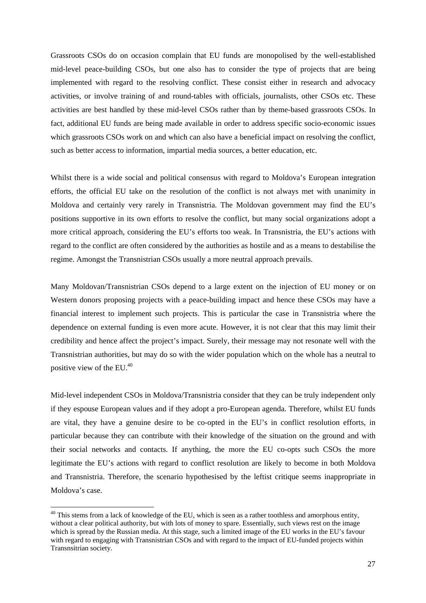Grassroots CSOs do on occasion complain that EU funds are monopolised by the well-established mid-level peace-building CSOs, but one also has to consider the type of projects that are being implemented with regard to the resolving conflict. These consist either in research and advocacy activities, or involve training of and round-tables with officials, journalists, other CSOs etc. These activities are best handled by these mid-level CSOs rather than by theme-based grassroots CSOs. In fact, additional EU funds are being made available in order to address specific socio-economic issues which grassroots CSOs work on and which can also have a beneficial impact on resolving the conflict, such as better access to information, impartial media sources, a better education, etc.

Whilst there is a wide social and political consensus with regard to Moldova's European integration efforts, the official EU take on the resolution of the conflict is not always met with unanimity in Moldova and certainly very rarely in Transnistria. The Moldovan government may find the EU's positions supportive in its own efforts to resolve the conflict, but many social organizations adopt a more critical approach, considering the EU's efforts too weak. In Transnistria, the EU's actions with regard to the conflict are often considered by the authorities as hostile and as a means to destabilise the regime. Amongst the Transnistrian CSOs usually a more neutral approach prevails.

Many Moldovan/Transnistrian CSOs depend to a large extent on the injection of EU money or on Western donors proposing projects with a peace-building impact and hence these CSOs may have a financial interest to implement such projects. This is particular the case in Transnistria where the dependence on external funding is even more acute. However, it is not clear that this may limit their credibility and hence affect the project's impact. Surely, their message may not resonate well with the Transnistrian authorities, but may do so with the wider population which on the whole has a neutral to positive view of the EU.40

Mid-level independent CSOs in Moldova/Transnistria consider that they can be truly independent only if they espouse European values and if they adopt a pro-European agenda. Therefore, whilst EU funds are vital, they have a genuine desire to be co-opted in the EU's in conflict resolution efforts, in particular because they can contribute with their knowledge of the situation on the ground and with their social networks and contacts. If anything, the more the EU co-opts such CSOs the more legitimate the EU's actions with regard to conflict resolution are likely to become in both Moldova and Transnistria. Therefore, the scenario hypothesised by the leftist critique seems inappropriate in Moldova's case.

 $40$  This stems from a lack of knowledge of the EU, which is seen as a rather toothless and amorphous entity, without a clear political authority, but with lots of money to spare. Essentially, such views rest on the image which is spread by the Russian media. At this stage, such a limited image of the EU works in the EU's favour with regard to engaging with Transnistrian CSOs and with regard to the impact of EU-funded projects within Transnsitrian society.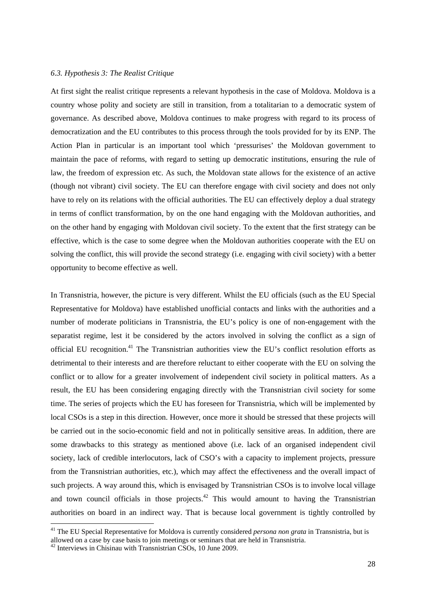#### *6.3. Hypothesis 3: The Realist Critique*

At first sight the realist critique represents a relevant hypothesis in the case of Moldova. Moldova is a country whose polity and society are still in transition, from a totalitarian to a democratic system of governance. As described above, Moldova continues to make progress with regard to its process of democratization and the EU contributes to this process through the tools provided for by its ENP. The Action Plan in particular is an important tool which 'pressurises' the Moldovan government to maintain the pace of reforms, with regard to setting up democratic institutions, ensuring the rule of law, the freedom of expression etc. As such, the Moldovan state allows for the existence of an active (though not vibrant) civil society. The EU can therefore engage with civil society and does not only have to rely on its relations with the official authorities. The EU can effectively deploy a dual strategy in terms of conflict transformation, by on the one hand engaging with the Moldovan authorities, and on the other hand by engaging with Moldovan civil society. To the extent that the first strategy can be effective, which is the case to some degree when the Moldovan authorities cooperate with the EU on solving the conflict, this will provide the second strategy (i.e. engaging with civil society) with a better opportunity to become effective as well.

In Transnistria, however, the picture is very different. Whilst the EU officials (such as the EU Special Representative for Moldova) have established unofficial contacts and links with the authorities and a number of moderate politicians in Transnistria, the EU's policy is one of non-engagement with the separatist regime, lest it be considered by the actors involved in solving the conflict as a sign of official EU recognition.41 The Transnistrian authorities view the EU's conflict resolution efforts as detrimental to their interests and are therefore reluctant to either cooperate with the EU on solving the conflict or to allow for a greater involvement of independent civil society in political matters. As a result, the EU has been considering engaging directly with the Transnistrian civil society for some time. The series of projects which the EU has foreseen for Transnistria, which will be implemented by local CSOs is a step in this direction. However, once more it should be stressed that these projects will be carried out in the socio-economic field and not in politically sensitive areas. In addition, there are some drawbacks to this strategy as mentioned above (i.e. lack of an organised independent civil society, lack of credible interlocutors, lack of CSO's with a capacity to implement projects, pressure from the Transnistrian authorities, etc.), which may affect the effectiveness and the overall impact of such projects. A way around this, which is envisaged by Transnistrian CSOs is to involve local village and town council officials in those projects.<sup>42</sup> This would amount to having the Transnistrian authorities on board in an indirect way. That is because local government is tightly controlled by

<sup>&</sup>lt;sup>41</sup> The EU Special Representative for Moldova is currently considered *persona non grata* in Transnistria, but is allowed on a case by case basis to join meetings or seminars that are held in Transnistria. 42 Interviews in Chisinau with Transnistrian CSOs, 10 June 2009.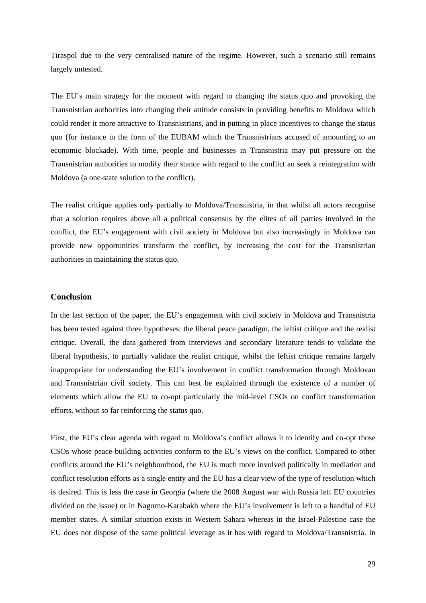Tiraspol due to the very centralised nature of the regime. However, such a scenario still remains largely untested.

The EU's main strategy for the moment with regard to changing the status quo and provoking the Transnistrian authorities into changing their attitude consists in providing benefits to Moldova which could render it more attractive to Transnistrians, and in putting in place incentives to change the status quo (for instance in the form of the EUBAM which the Transnistrians accused of amounting to an economic blockade). With time, people and businesses in Transnistria may put pressure on the Transnistrian authorities to modify their stance with regard to the conflict an seek a reintegration with Moldova (a one-state solution to the conflict).

The realist critique applies only partially to Moldova/Transnistria, in that whilst all actors recognise that a solution requires above all a political consensus by the elites of all parties involved in the conflict, the EU's engagement with civil society in Moldova but also increasingly in Moldova can provide new opportunities transform the conflict, by increasing the cost for the Transnistrian authorities in maintaining the status quo.

# **Conclusion**

In the last section of the paper, the EU's engagement with civil society in Moldova and Transnistria has been tested against three hypotheses: the liberal peace paradigm, the leftist critique and the realist critique. Overall, the data gathered from interviews and secondary literature tends to validate the liberal hypothesis, to partially validate the realist critique, whilst the leftist critique remains largely inappropriate for understanding the EU's involvement in conflict transformation through Moldovan and Transnistrian civil society. This can best be explained through the existence of a number of elements which allow the EU to co-opt particularly the mid-level CSOs on conflict transformation efforts, without so far reinforcing the status quo.

First, the EU's clear agenda with regard to Moldova's conflict allows it to identify and co-opt those CSOs whose peace-building activities conform to the EU's views on the conflict. Compared to other conflicts around the EU's neighbourhood, the EU is much more involved politically in mediation and conflict resolution efforts as a single entity and the EU has a clear view of the type of resolution which is desired. This is less the case in Georgia (where the 2008 August war with Russia left EU countries divided on the issue) or in Nagorno-Karabakh where the EU's involvement is left to a handful of EU member states. A similar situation exists in Western Sahara whereas in the Israel-Palestine case the EU does not dispose of the same political leverage as it has with regard to Moldova/Transnistria. In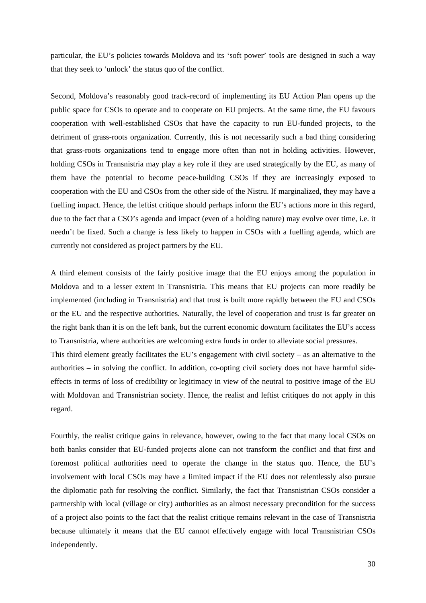particular, the EU's policies towards Moldova and its 'soft power' tools are designed in such a way that they seek to 'unlock' the status quo of the conflict.

Second, Moldova's reasonably good track-record of implementing its EU Action Plan opens up the public space for CSOs to operate and to cooperate on EU projects. At the same time, the EU favours cooperation with well-established CSOs that have the capacity to run EU-funded projects, to the detriment of grass-roots organization. Currently, this is not necessarily such a bad thing considering that grass-roots organizations tend to engage more often than not in holding activities. However, holding CSOs in Transnistria may play a key role if they are used strategically by the EU, as many of them have the potential to become peace-building CSOs if they are increasingly exposed to cooperation with the EU and CSOs from the other side of the Nistru. If marginalized, they may have a fuelling impact. Hence, the leftist critique should perhaps inform the EU's actions more in this regard, due to the fact that a CSO's agenda and impact (even of a holding nature) may evolve over time, i.e. it needn't be fixed. Such a change is less likely to happen in CSOs with a fuelling agenda, which are currently not considered as project partners by the EU.

A third element consists of the fairly positive image that the EU enjoys among the population in Moldova and to a lesser extent in Transnistria. This means that EU projects can more readily be implemented (including in Transnistria) and that trust is built more rapidly between the EU and CSOs or the EU and the respective authorities. Naturally, the level of cooperation and trust is far greater on the right bank than it is on the left bank, but the current economic downturn facilitates the EU's access to Transnistria, where authorities are welcoming extra funds in order to alleviate social pressures. This third element greatly facilitates the EU's engagement with civil society – as an alternative to the authorities – in solving the conflict. In addition, co-opting civil society does not have harmful sideeffects in terms of loss of credibility or legitimacy in view of the neutral to positive image of the EU with Moldovan and Transnistrian society. Hence, the realist and leftist critiques do not apply in this regard.

Fourthly, the realist critique gains in relevance, however, owing to the fact that many local CSOs on both banks consider that EU-funded projects alone can not transform the conflict and that first and foremost political authorities need to operate the change in the status quo. Hence, the EU's involvement with local CSOs may have a limited impact if the EU does not relentlessly also pursue the diplomatic path for resolving the conflict. Similarly, the fact that Transnistrian CSOs consider a partnership with local (village or city) authorities as an almost necessary precondition for the success of a project also points to the fact that the realist critique remains relevant in the case of Transnistria because ultimately it means that the EU cannot effectively engage with local Transnistrian CSOs independently.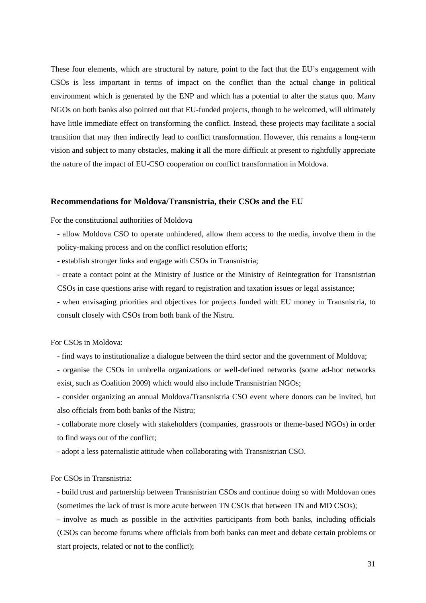These four elements, which are structural by nature, point to the fact that the EU's engagement with CSOs is less important in terms of impact on the conflict than the actual change in political environment which is generated by the ENP and which has a potential to alter the status quo. Many NGOs on both banks also pointed out that EU-funded projects, though to be welcomed, will ultimately have little immediate effect on transforming the conflict. Instead, these projects may facilitate a social transition that may then indirectly lead to conflict transformation. However, this remains a long-term vision and subject to many obstacles, making it all the more difficult at present to rightfully appreciate the nature of the impact of EU-CSO cooperation on conflict transformation in Moldova.

## **Recommendations for Moldova/Transnistria, their CSOs and the EU**

For the constitutional authorities of Moldova

- allow Moldova CSO to operate unhindered, allow them access to the media, involve them in the policy-making process and on the conflict resolution efforts;
- establish stronger links and engage with CSOs in Transnistria;
- create a contact point at the Ministry of Justice or the Ministry of Reintegration for Transnistrian CSOs in case questions arise with regard to registration and taxation issues or legal assistance;
- when envisaging priorities and objectives for projects funded with EU money in Transnistria, to consult closely with CSOs from both bank of the Nistru.

For CSOs in Moldova:

- find ways to institutionalize a dialogue between the third sector and the government of Moldova;
- organise the CSOs in umbrella organizations or well-defined networks (some ad-hoc networks exist, such as Coalition 2009) which would also include Transnistrian NGOs;
- consider organizing an annual Moldova/Transnistria CSO event where donors can be invited, but also officials from both banks of the Nistru;
- collaborate more closely with stakeholders (companies, grassroots or theme-based NGOs) in order to find ways out of the conflict;
- adopt a less paternalistic attitude when collaborating with Transnistrian CSO.

For CSOs in Transnistria:

- build trust and partnership between Transnistrian CSOs and continue doing so with Moldovan ones (sometimes the lack of trust is more acute between TN CSOs that between TN and MD CSOs);

- involve as much as possible in the activities participants from both banks, including officials (CSOs can become forums where officials from both banks can meet and debate certain problems or start projects, related or not to the conflict);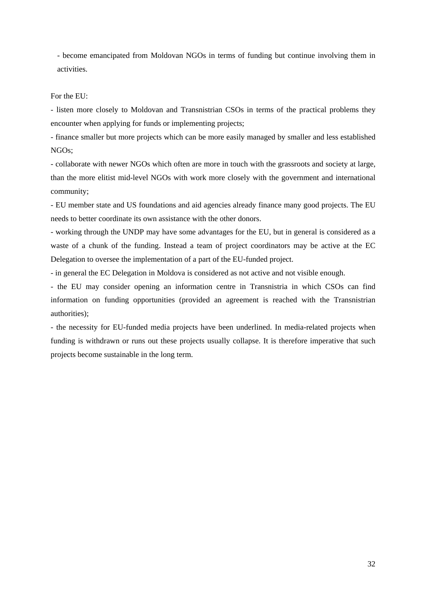- become emancipated from Moldovan NGOs in terms of funding but continue involving them in activities.

## For the EU:

- listen more closely to Moldovan and Transnistrian CSOs in terms of the practical problems they encounter when applying for funds or implementing projects;

- finance smaller but more projects which can be more easily managed by smaller and less established NGOs;

- collaborate with newer NGOs which often are more in touch with the grassroots and society at large, than the more elitist mid-level NGOs with work more closely with the government and international community;

- EU member state and US foundations and aid agencies already finance many good projects. The EU needs to better coordinate its own assistance with the other donors.

- working through the UNDP may have some advantages for the EU, but in general is considered as a waste of a chunk of the funding. Instead a team of project coordinators may be active at the EC Delegation to oversee the implementation of a part of the EU-funded project.

- in general the EC Delegation in Moldova is considered as not active and not visible enough.

- the EU may consider opening an information centre in Transnistria in which CSOs can find information on funding opportunities (provided an agreement is reached with the Transnistrian authorities);

- the necessity for EU-funded media projects have been underlined. In media-related projects when funding is withdrawn or runs out these projects usually collapse. It is therefore imperative that such projects become sustainable in the long term.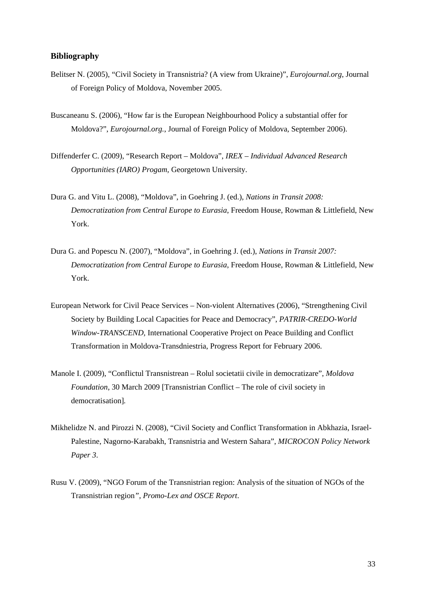# **Bibliography**

- Belitser N. (2005), "Civil Society in Transnistria? (A view from Ukraine)", *Eurojournal.org*, Journal of Foreign Policy of Moldova, November 2005.
- Buscaneanu S. (2006), "How far is the European Neighbourhood Policy a substantial offer for Moldova?", *Eurojournal.org.*, Journal of Foreign Policy of Moldova*,* September 2006).
- Diffenderfer C. (2009), "Research Report Moldova", *IREX Individual Advanced Research Opportunities (IARO) Progam,* Georgetown University.
- Dura G. and Vitu L. (2008), "Moldova", in Goehring J. (ed.), *Nations in Transit 2008: Democratization from Central Europe to Eurasia*, Freedom House, Rowman & Littlefield, New York.
- Dura G. and Popescu N. (2007), "Moldova", in Goehring J. (ed.), *Nations in Transit 2007: Democratization from Central Europe to Eurasia*, Freedom House, Rowman & Littlefield, New York.
- European Network for Civil Peace Services Non-violent Alternatives (2006), "Strengthening Civil Society by Building Local Capacities for Peace and Democracy", *PATRIR-CREDO-World Window-TRANSCEND,* International Cooperative Project on Peace Building and Conflict Transformation in Moldova-Transdniestria, Progress Report for February 2006.
- Manole I. (2009), "Conflictul Transnistrean Rolul societatii civile in democratizare", *Moldova Foundation*, 30 March 2009 [Transnistrian Conflict – The role of civil society in democratisation]*.*
- Mikhelidze N. and Pirozzi N. (2008), "Civil Society and Conflict Transformation in Abkhazia, Israel-Palestine, Nagorno-Karabakh, Transnistria and Western Sahara", *MICROCON Policy Network Paper 3*.
- Rusu V. (2009), "NGO Forum of the Transnistrian region: Analysis of the situation of NGOs of the Transnistrian region*", Promo-Lex and OSCE Report*.